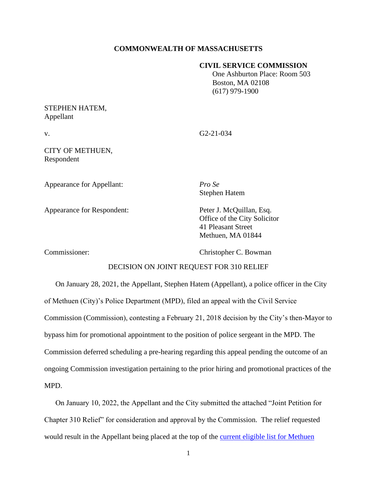## **COMMONWEALTH OF MASSACHUSETTS**

#### **CIVIL SERVICE COMMISSION**

 One Ashburton Place: Room 503 Boston, MA 02108 (617) 979-1900

# STEPHEN HATEM, Appellant

v. G2-21-034

CITY OF METHUEN, Respondent

Appearance for Appellant: *Pro Se*

Stephen Hatem

Appearance for Respondent: Peter J. McQuillan, Esq.

Office of the City Solicitor 41 Pleasant Street Methuen, MA 01844

Commissioner: Christopher C. Bowman

# DECISION ON JOINT REQUEST FOR 310 RELIEF

On January 28, 2021, the Appellant, Stephen Hatem (Appellant), a police officer in the City of Methuen (City)'s Police Department (MPD), filed an appeal with the Civil Service Commission (Commission), contesting a February 21, 2018 decision by the City's then-Mayor to bypass him for promotional appointment to the position of police sergeant in the MPD. The Commission deferred scheduling a pre-hearing regarding this appeal pending the outcome of an ongoing Commission investigation pertaining to the prior hiring and promotional practices of the MPD.

On January 10, 2022, the Appellant and the City submitted the attached "Joint Petition for Chapter 310 Relief" for consideration and approval by the Commission. The relief requested would result in the Appellant being placed at the top of the [current eligible list for Methuen](https://www.csexam.hrd.state.ma.us/eligiblelist/eligiblelistpromo.aspx?ListId=9&Location_Id=194&referrer=https%3a%2f%2fwww.csexam.hrd.state.ma.us%2feligiblelist%2fcommunities.aspx%3fListTypeId%3d2%26ListId%3d9&name=Police+Communities+Promotional+Lists)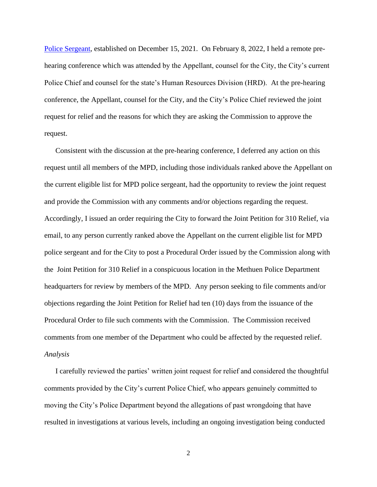[Police Sergeant,](https://www.csexam.hrd.state.ma.us/eligiblelist/eligiblelistpromo.aspx?ListId=9&Location_Id=194&referrer=https%3a%2f%2fwww.csexam.hrd.state.ma.us%2feligiblelist%2fcommunities.aspx%3fListTypeId%3d2%26ListId%3d9&name=Police+Communities+Promotional+Lists) established on December 15, 2021. On February 8, 2022, I held a remote prehearing conference which was attended by the Appellant, counsel for the City, the City's current Police Chief and counsel for the state's Human Resources Division (HRD). At the pre-hearing conference, the Appellant, counsel for the City, and the City's Police Chief reviewed the joint request for relief and the reasons for which they are asking the Commission to approve the request.

Consistent with the discussion at the pre-hearing conference, I deferred any action on this request until all members of the MPD, including those individuals ranked above the Appellant on the current eligible list for MPD police sergeant, had the opportunity to review the joint request and provide the Commission with any comments and/or objections regarding the request. Accordingly, I issued an order requiring the City to forward the Joint Petition for 310 Relief, via email, to any person currently ranked above the Appellant on the current eligible list for MPD police sergeant and for the City to post a Procedural Order issued by the Commission along with the Joint Petition for 310 Relief in a conspicuous location in the Methuen Police Department headquarters for review by members of the MPD. Any person seeking to file comments and/or objections regarding the Joint Petition for Relief had ten (10) days from the issuance of the Procedural Order to file such comments with the Commission. The Commission received comments from one member of the Department who could be affected by the requested relief. *Analysis*

I carefully reviewed the parties' written joint request for relief and considered the thoughtful comments provided by the City's current Police Chief, who appears genuinely committed to moving the City's Police Department beyond the allegations of past wrongdoing that have resulted in investigations at various levels, including an ongoing investigation being conducted

2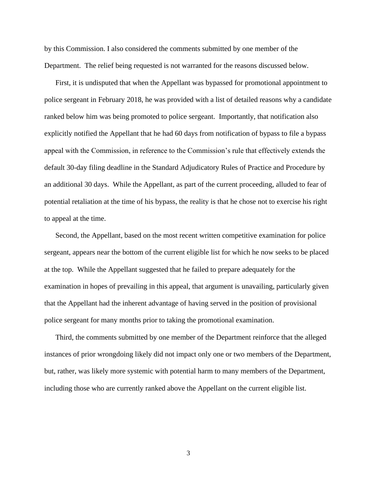by this Commission. I also considered the comments submitted by one member of the Department. The relief being requested is not warranted for the reasons discussed below.

First, it is undisputed that when the Appellant was bypassed for promotional appointment to police sergeant in February 2018, he was provided with a list of detailed reasons why a candidate ranked below him was being promoted to police sergeant. Importantly, that notification also explicitly notified the Appellant that he had 60 days from notification of bypass to file a bypass appeal with the Commission, in reference to the Commission's rule that effectively extends the default 30-day filing deadline in the Standard Adjudicatory Rules of Practice and Procedure by an additional 30 days. While the Appellant, as part of the current proceeding, alluded to fear of potential retaliation at the time of his bypass, the reality is that he chose not to exercise his right to appeal at the time.

Second, the Appellant, based on the most recent written competitive examination for police sergeant, appears near the bottom of the current eligible list for which he now seeks to be placed at the top. While the Appellant suggested that he failed to prepare adequately for the examination in hopes of prevailing in this appeal, that argument is unavailing, particularly given that the Appellant had the inherent advantage of having served in the position of provisional police sergeant for many months prior to taking the promotional examination.

Third, the comments submitted by one member of the Department reinforce that the alleged instances of prior wrongdoing likely did not impact only one or two members of the Department, but, rather, was likely more systemic with potential harm to many members of the Department, including those who are currently ranked above the Appellant on the current eligible list.

3